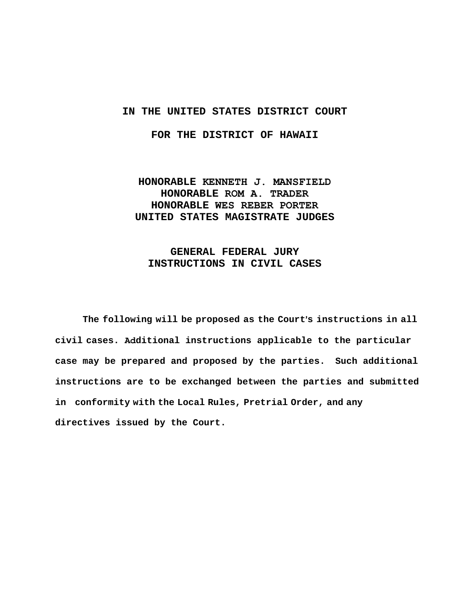## **IN THE UNITED STATES DISTRICT COURT**

**FOR THE DISTRICT OF HAWAII** 

# **HONORABLE KENNETH J. MANSFIELD HONORABLE ROM A. TRADER HONORABLE WES REBER PORTER UNITED STATES MAGISTRATE JUDGES**

# **GENERAL FEDERAL JURY INSTRUCTIONS IN CIVIL CASES**

The following will be proposed as the Court's instructions in all **civil cases. Additional instructions applicable to the particular case may be prepared and proposed by the parties. Such additional instructions are to be exchanged between the parties and submitted in conformity with the Local Rules, Pretrial Order, and any directives issued by the Court.**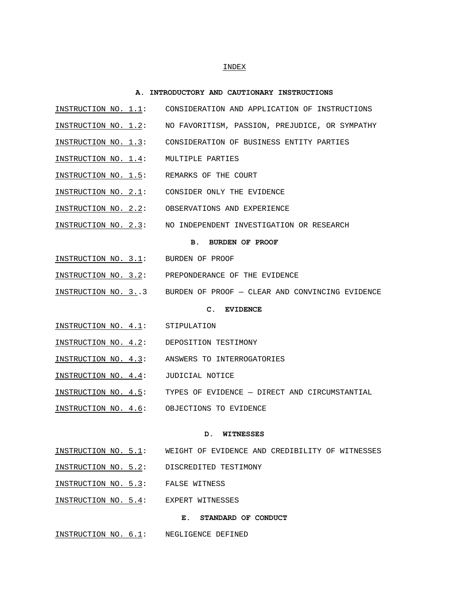### INDEX

#### **A. INTRODUCTORY AND CAUTIONARY INSTRUCTIONS**

- INSTRUCTION NO. 1.1: CONSIDERATION AND APPLICATION OF INSTRUCTIONS
- INSTRUCTION NO. 1.2: NO FAVORITISM, PASSION, PREJUDICE, OR SYMPATHY
- INSTRUCTION NO. 1.3: CONSIDERATION OF BUSINESS ENTITY PARTIES
- INSTRUCTION NO. 1.4: MULTIPLE PARTIES
- INSTRUCTION NO. 1.5: REMARKS OF THE COURT
- INSTRUCTION NO. 2.1: CONSIDER ONLY THE EVIDENCE
- INSTRUCTION NO. 2.2: OBSERVATIONS AND EXPERIENCE
- INSTRUCTION NO. 2.3: NO INDEPENDENT INVESTIGATION OR RESEARCH

### **B. BURDEN OF PROOF**

- INSTRUCTION NO. 3.1: BURDEN OF PROOF
- INSTRUCTION NO. 3.2: PREPONDERANCE OF THE EVIDENCE
- INSTRUCTION NO. 3..3 BURDEN OF PROOF CLEAR AND CONVINCING EVIDENCE

#### **C. EVIDENCE**

- INSTRUCTION NO. 4.1: STIPULATION
- INSTRUCTION NO. 4.2: DEPOSITION TESTIMONY
- INSTRUCTION NO. 4.3: ANSWERS TO INTERROGATORIES
- INSTRUCTION NO. 4.4: JUDICIAL NOTICE
- INSTRUCTION NO. 4.5: TYPES OF EVIDENCE DIRECT AND CIRCUMSTANTIAL
- INSTRUCTION NO. 4.6: OBJECTIONS TO EVIDENCE

#### **D. WITNESSES**

- INSTRUCTION NO. 5.1: WEIGHT OF EVIDENCE AND CREDIBILITY OF WITNESSES
- INSTRUCTION NO. 5.2: DISCREDITED TESTIMONY
- INSTRUCTION NO. 5.3: FALSE WITNESS
- INSTRUCTION NO. 5.4: EXPERT WITNESSES

### **E. STANDARD OF CONDUCT**

INSTRUCTION NO. 6.1: NEGLIGENCE DEFINED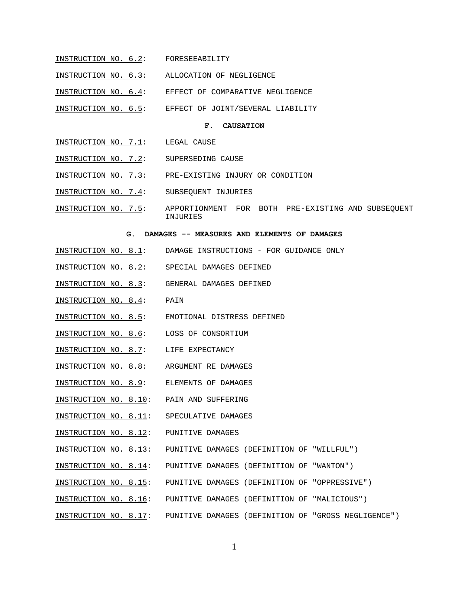- INSTRUCTION NO. 6.2: FORESEEABILITY
- INSTRUCTION NO. 6.3: ALLOCATION OF NEGLIGENCE
- INSTRUCTION NO. 6.4: EFFECT OF COMPARATIVE NEGLIGENCE
- INSTRUCTION NO. 6.5: EFFECT OF JOINT/SEVERAL LIABILITY

### **F. CAUSATION**

- INSTRUCTION NO. 7.1: LEGAL CAUSE
- INSTRUCTION NO. 7.2: SUPERSEDING CAUSE
- INSTRUCTION NO. 7.3: PRE-EXISTING INJURY OR CONDITION
- INSTRUCTION NO. 7.4: SUBSEQUENT INJURIES
- INSTRUCTION NO. 7.5: APPORTIONMENT FOR BOTH PRE-EXISTING AND SUBSEQUENT INJURIES

#### **G. DAMAGES -- MEASURES AND ELEMENTS OF DAMAGES**

- INSTRUCTION NO. 8.1: DAMAGE INSTRUCTIONS FOR GUIDANCE ONLY
- INSTRUCTION NO. 8.2: SPECIAL DAMAGES DEFINED
- INSTRUCTION NO. 8.3: GENERAL DAMAGES DEFINED
- INSTRUCTION NO. 8.4: PAIN
- INSTRUCTION NO. 8.5: EMOTIONAL DISTRESS DEFINED
- INSTRUCTION NO. 8.6: LOSS OF CONSORTIUM
- INSTRUCTION NO. 8.7: LIFE EXPECTANCY
- INSTRUCTION NO. 8.8: ARGUMENT RE DAMAGES
- INSTRUCTION NO. 8.9: ELEMENTS OF DAMAGES
- INSTRUCTION NO. 8.10: PAIN AND SUFFERING
- INSTRUCTION NO. 8.11: SPECULATIVE DAMAGES
- INSTRUCTION NO. 8.12: PUNITIVE DAMAGES
- INSTRUCTION NO. 8.13: PUNITIVE DAMAGES (DEFINITION OF "WILLFUL")
- INSTRUCTION NO. 8.14: PUNITIVE DAMAGES (DEFINITION OF "WANTON")
- INSTRUCTION NO. 8.15: PUNITIVE DAMAGES (DEFINITION OF "OPPRESSIVE")
- INSTRUCTION NO. 8.16: PUNITIVE DAMAGES (DEFINITION OF "MALICIOUS")
- INSTRUCTION NO. 8.17: PUNITIVE DAMAGES (DEFINITION OF "GROSS NEGLIGENCE")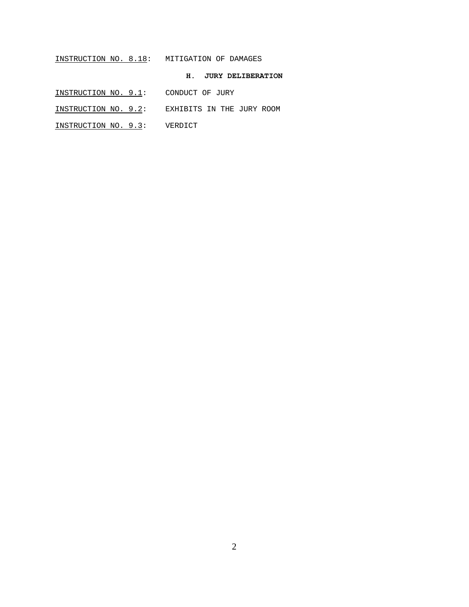# INSTRUCTION NO. 8.18: MITIGATION OF DAMAGES

# **H. JURY DELIBERATION**

- INSTRUCTION NO. 9.1: CONDUCT OF JURY
- INSTRUCTION NO. 9.2: EXHIBITS IN THE JURY ROOM
- INSTRUCTION NO. 9.3: VERDICT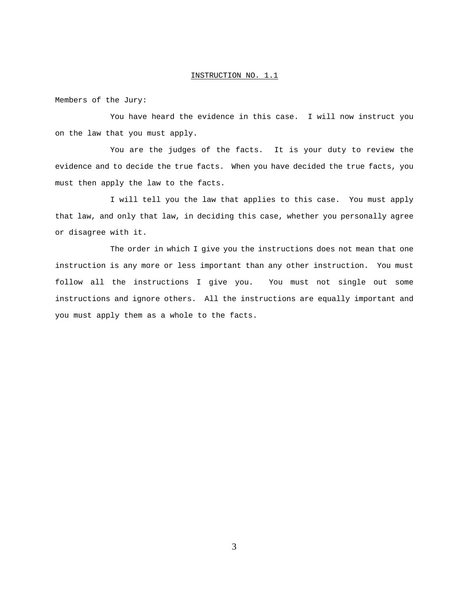Members of the Jury:

You have heard the evidence in this case. I will now instruct you on the law that you must apply.

You are the judges of the facts. It is your duty to review the evidence and to decide the true facts. When you have decided the true facts, you must then apply the law to the facts.

I will tell you the law that applies to this case. You must apply that law, and only that law, in deciding this case, whether you personally agree or disagree with it.

The order in which I give you the instructions does not mean that one instruction is any more or less important than any other instruction. You must follow all the instructions I give you. You must not single out some instructions and ignore others. All the instructions are equally important and you must apply them as a whole to the facts.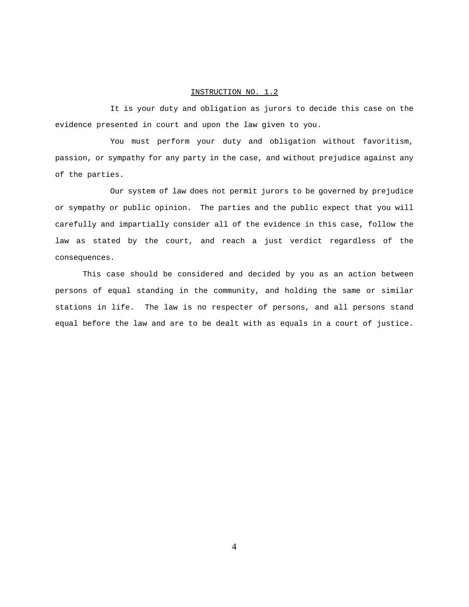It is your duty and obligation as jurors to decide this case on the evidence presented in court and upon the law given to you.

You must perform your duty and obligation without favoritism, passion, or sympathy for any party in the case, and without prejudice against any of the parties.

Our system of law does not permit jurors to be governed by prejudice or sympathy or public opinion. The parties and the public expect that you will carefully and impartially consider all of the evidence in this case, follow the law as stated by the court, and reach a just verdict regardless of the consequences.

This case should be considered and decided by you as an action between persons of equal standing in the community, and holding the same or similar stations in life. The law is no respecter of persons, and all persons stand equal before the law and are to be dealt with as equals in a court of justice.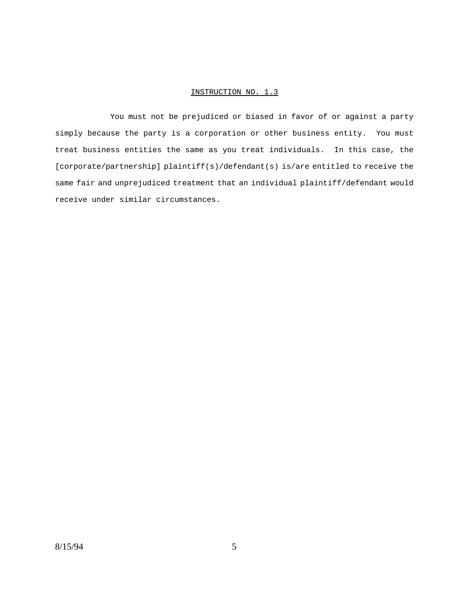You must not be prejudiced or biased in favor of or against a party simply because the party is a corporation or other business entity. You must treat business entities the same as you treat individuals. In this case, the [corporate/partnership] plaintiff(s)/defendant(s) is/are entitled to receive the same fair and unprejudiced treatment that an individual plaintiff/defendant would receive under similar circumstances.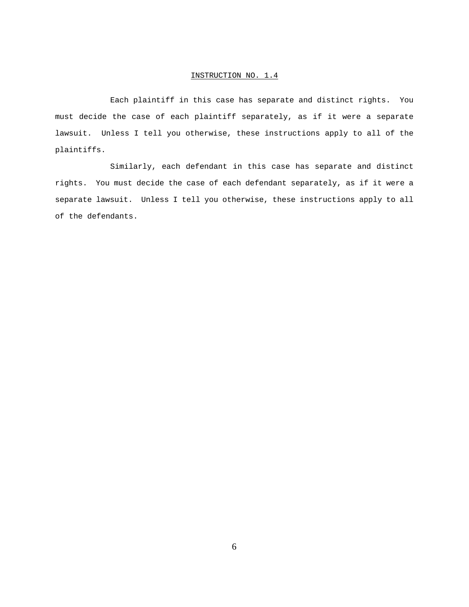Each plaintiff in this case has separate and distinct rights. You must decide the case of each plaintiff separately, as if it were a separate lawsuit. Unless I tell you otherwise, these instructions apply to all of the plaintiffs.

Similarly, each defendant in this case has separate and distinct rights. You must decide the case of each defendant separately, as if it were a separate lawsuit. Unless I tell you otherwise, these instructions apply to all of the defendants.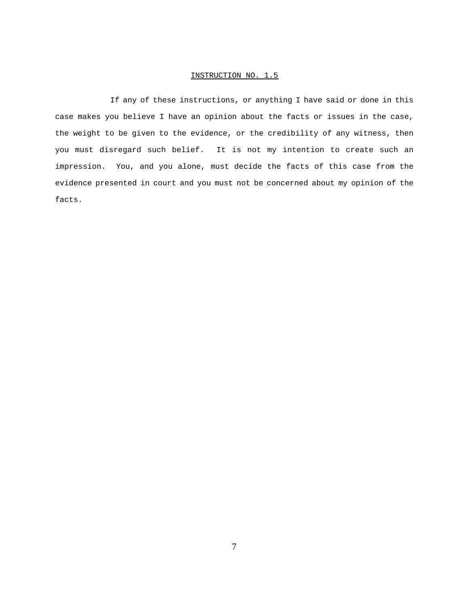If any of these instructions, or anything I have said or done in this case makes you believe I have an opinion about the facts or issues in the case, the weight to be given to the evidence, or the credibility of any witness, then you must disregard such belief. It is not my intention to create such an impression. You, and you alone, must decide the facts of this case from the evidence presented in court and you must not be concerned about my opinion of the facts.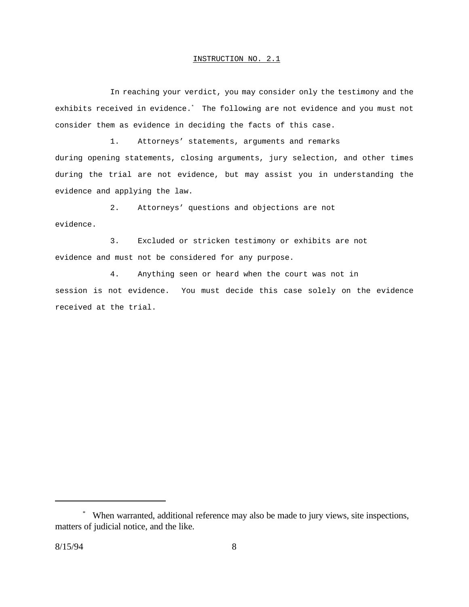In reaching your verdict, you may consider only the testimony and the exhibits received in evidence.\* The following are not evidence and you must not consider them as evidence in deciding the facts of this case.

1. Attorneys' statements, arguments and remarks during opening statements, closing arguments, jury selection, and other times during the trial are not evidence, but may assist you in understanding the evidence and applying the law.

2. Attorneys' questions and objections are not evidence.

3. Excluded or stricken testimony or exhibits are not evidence and must not be considered for any purpose.

4. Anything seen or heard when the court was not in session is not evidence. You must decide this case solely on the evidence received at the trial.

<sup>\*</sup> When warranted, additional reference may also be made to jury views, site inspections, matters of judicial notice, and the like.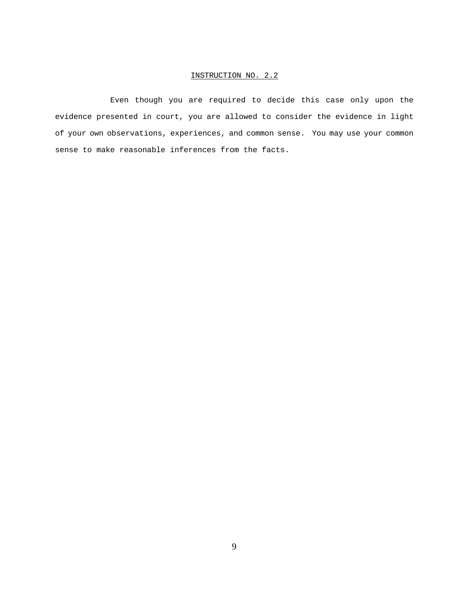Even though you are required to decide this case only upon the evidence presented in court, you are allowed to consider the evidence in light of your own observations, experiences, and common sense. You may use your common sense to make reasonable inferences from the facts.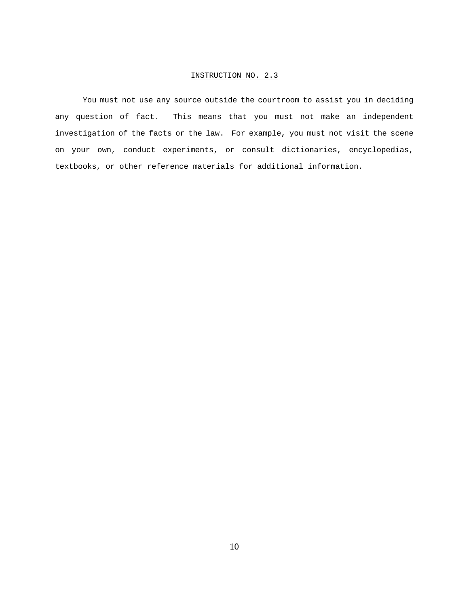You must not use any source outside the courtroom to assist you in deciding any question of fact. This means that you must not make an independent investigation of the facts or the law. For example, you must not visit the scene on your own, conduct experiments, or consult dictionaries, encyclopedias, textbooks, or other reference materials for additional information.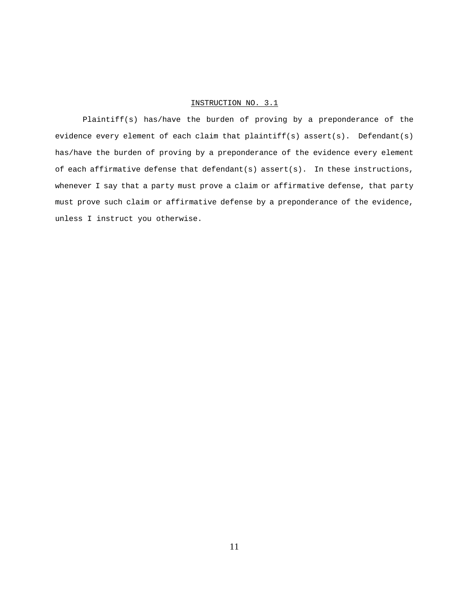Plaintiff(s) has/have the burden of proving by a preponderance of the evidence every element of each claim that plaintiff(s) assert(s). Defendant(s) has/have the burden of proving by a preponderance of the evidence every element of each affirmative defense that defendant(s) assert(s). In these instructions, whenever I say that a party must prove a claim or affirmative defense, that party must prove such claim or affirmative defense by a preponderance of the evidence, unless I instruct you otherwise.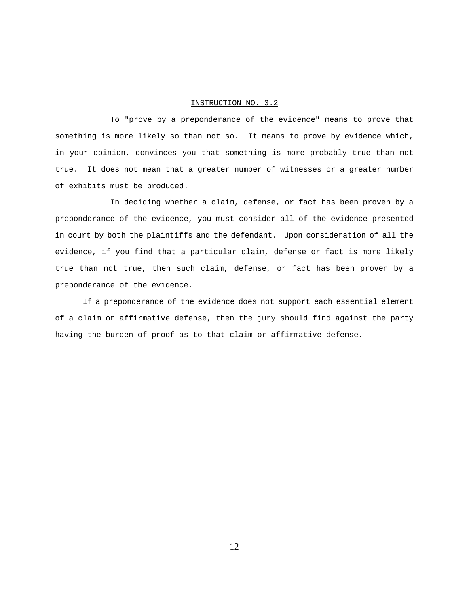To "prove by a preponderance of the evidence" means to prove that something is more likely so than not so. It means to prove by evidence which, in your opinion, convinces you that something is more probably true than not true. It does not mean that a greater number of witnesses or a greater number of exhibits must be produced.

In deciding whether a claim, defense, or fact has been proven by a preponderance of the evidence, you must consider all of the evidence presented in court by both the plaintiffs and the defendant. Upon consideration of all the evidence, if you find that a particular claim, defense or fact is more likely true than not true, then such claim, defense, or fact has been proven by a preponderance of the evidence.

If a preponderance of the evidence does not support each essential element of a claim or affirmative defense, then the jury should find against the party having the burden of proof as to that claim or affirmative defense.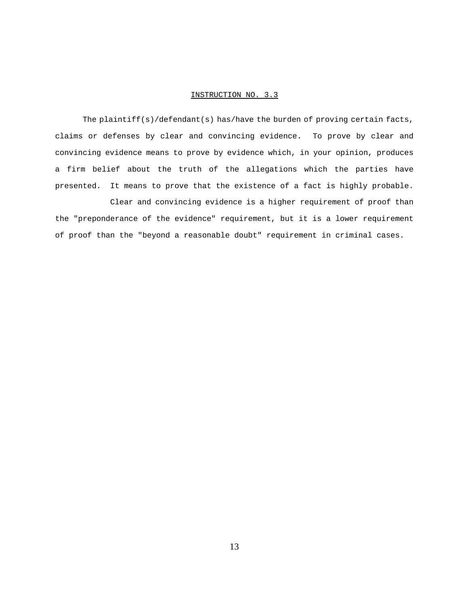The plaintiff(s)/defendant(s) has/have the burden of proving certain facts, claims or defenses by clear and convincing evidence. To prove by clear and convincing evidence means to prove by evidence which, in your opinion, produces a firm belief about the truth of the allegations which the parties have presented. It means to prove that the existence of a fact is highly probable.

Clear and convincing evidence is a higher requirement of proof than the "preponderance of the evidence" requirement, but it is a lower requirement of proof than the "beyond a reasonable doubt" requirement in criminal cases.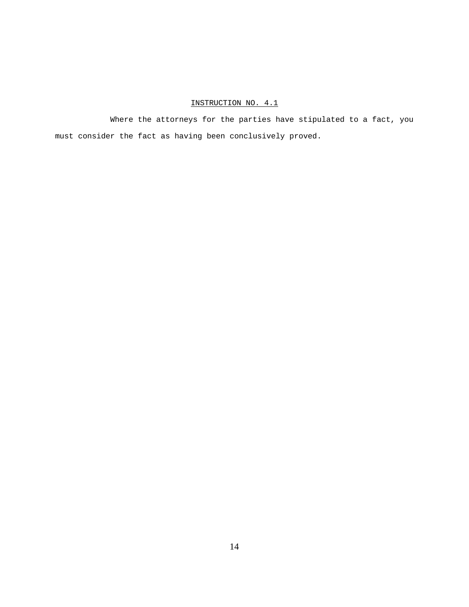Where the attorneys for the parties have stipulated to a fact, you must consider the fact as having been conclusively proved.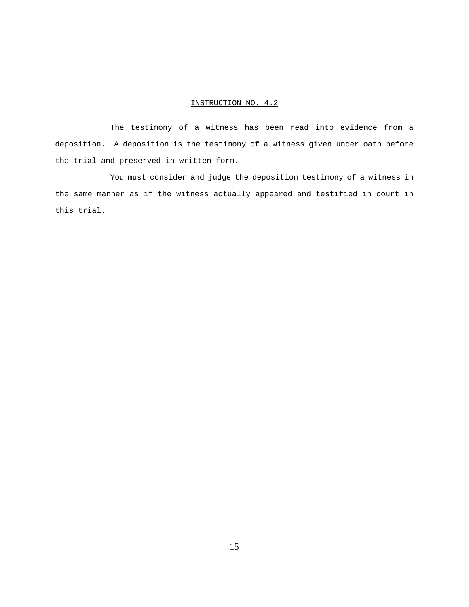The testimony of a witness has been read into evidence from a deposition. A deposition is the testimony of a witness given under oath before the trial and preserved in written form.

You must consider and judge the deposition testimony of a witness in the same manner as if the witness actually appeared and testified in court in this trial.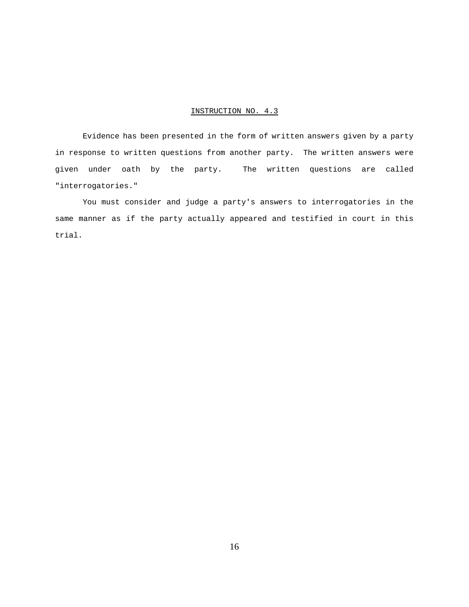Evidence has been presented in the form of written answers given by a party in response to written questions from another party. The written answers were given under oath by the party. The written questions are called "interrogatories."

You must consider and judge a party's answers to interrogatories in the same manner as if the party actually appeared and testified in court in this trial.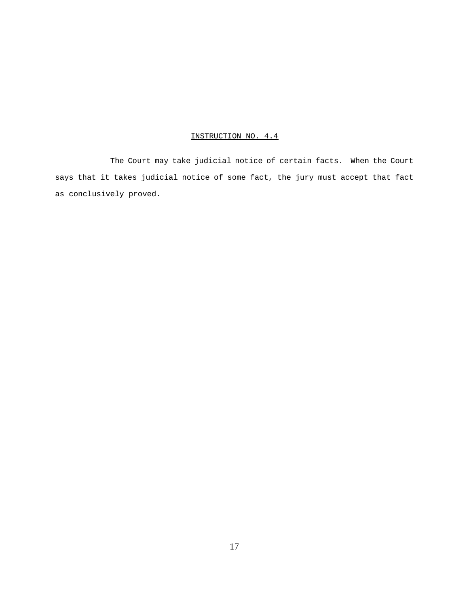The Court may take judicial notice of certain facts. When the Court says that it takes judicial notice of some fact, the jury must accept that fact as conclusively proved.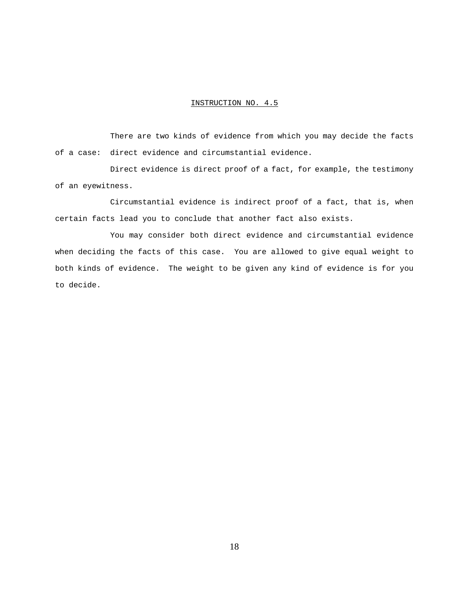There are two kinds of evidence from which you may decide the facts of a case: direct evidence and circumstantial evidence.

Direct evidence is direct proof of a fact, for example, the testimony of an eyewitness.

Circumstantial evidence is indirect proof of a fact, that is, when certain facts lead you to conclude that another fact also exists.

You may consider both direct evidence and circumstantial evidence when deciding the facts of this case. You are allowed to give equal weight to both kinds of evidence. The weight to be given any kind of evidence is for you to decide.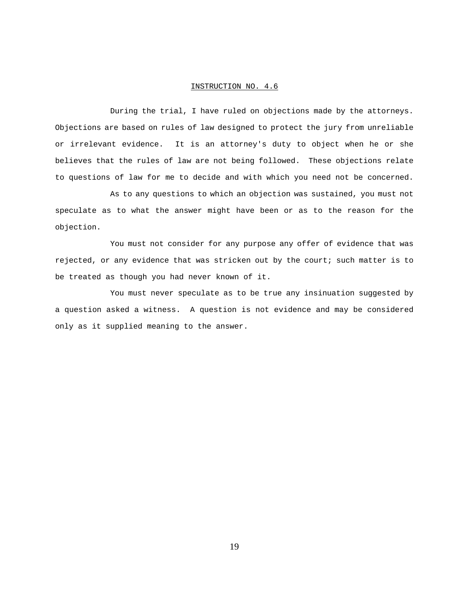During the trial, I have ruled on objections made by the attorneys. Objections are based on rules of law designed to protect the jury from unreliable or irrelevant evidence. It is an attorney's duty to object when he or she believes that the rules of law are not being followed. These objections relate to questions of law for me to decide and with which you need not be concerned.

As to any questions to which an objection was sustained, you must not speculate as to what the answer might have been or as to the reason for the objection.

You must not consider for any purpose any offer of evidence that was rejected, or any evidence that was stricken out by the court; such matter is to be treated as though you had never known of it.

You must never speculate as to be true any insinuation suggested by a question asked a witness. A question is not evidence and may be considered only as it supplied meaning to the answer.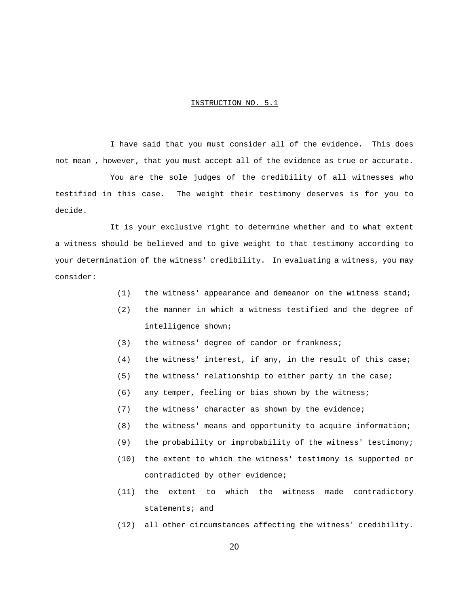I have said that you must consider all of the evidence. This does not mean , however, that you must accept all of the evidence as true or accurate.

You are the sole judges of the credibility of all witnesses who testified in this case. The weight their testimony deserves is for you to decide.

It is your exclusive right to determine whether and to what extent a witness should be believed and to give weight to that testimony according to your determination of the witness' credibility. In evaluating a witness, you may consider:

- (1) the witness' appearance and demeanor on the witness stand;
- (2) the manner in which a witness testified and the degree of intelligence shown;
- (3) the witness' degree of candor or frankness;
- (4) the witness' interest, if any, in the result of this case;
- (5) the witness' relationship to either party in the case;
- (6) any temper, feeling or bias shown by the witness;
- (7) the witness' character as shown by the evidence;
- (8) the witness' means and opportunity to acquire information;
- (9) the probability or improbability of the witness' testimony;
- (10) the extent to which the witness' testimony is supported or contradicted by other evidence;
- (11) the extent to which the witness made contradictory statements; and
- (12) all other circumstances affecting the witness' credibility.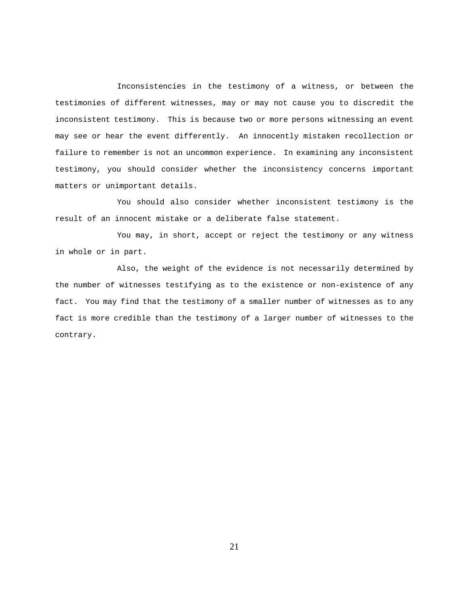Inconsistencies in the testimony of a witness, or between the testimonies of different witnesses, may or may not cause you to discredit the inconsistent testimony. This is because two or more persons witnessing an event may see or hear the event differently. An innocently mistaken recollection or failure to remember is not an uncommon experience. In examining any inconsistent testimony, you should consider whether the inconsistency concerns important matters or unimportant details.

You should also consider whether inconsistent testimony is the result of an innocent mistake or a deliberate false statement.

You may, in short, accept or reject the testimony or any witness in whole or in part.

Also, the weight of the evidence is not necessarily determined by the number of witnesses testifying as to the existence or non-existence of any fact. You may find that the testimony of a smaller number of witnesses as to any fact is more credible than the testimony of a larger number of witnesses to the contrary.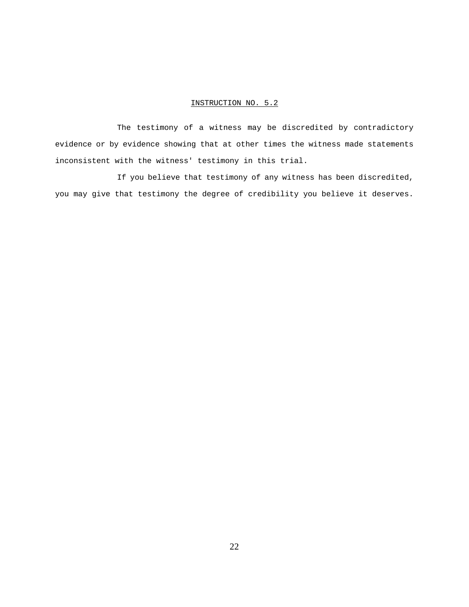The testimony of a witness may be discredited by contradictory evidence or by evidence showing that at other times the witness made statements inconsistent with the witness' testimony in this trial.

If you believe that testimony of any witness has been discredited, you may give that testimony the degree of credibility you believe it deserves.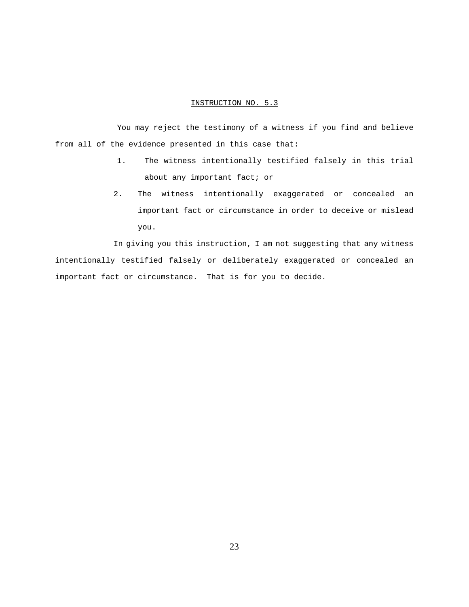You may reject the testimony of a witness if you find and believe from all of the evidence presented in this case that:

- 1. The witness intentionally testified falsely in this trial about any important fact; or
- 2. The witness intentionally exaggerated or concealed an important fact or circumstance in order to deceive or mislead you.

In giving you this instruction, I am not suggesting that any witness intentionally testified falsely or deliberately exaggerated or concealed an important fact or circumstance. That is for you to decide.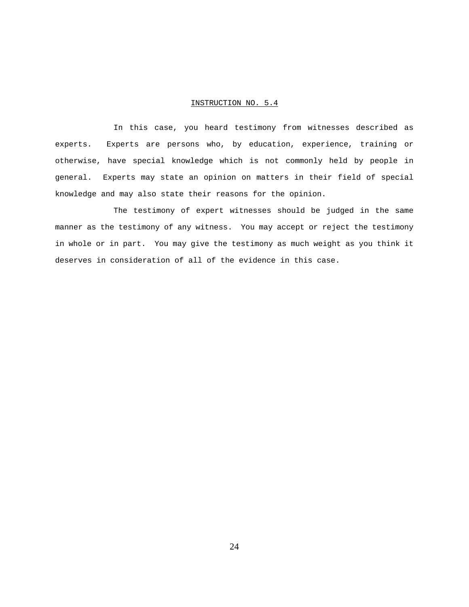In this case, you heard testimony from witnesses described as experts. Experts are persons who, by education, experience, training or otherwise, have special knowledge which is not commonly held by people in general. Experts may state an opinion on matters in their field of special knowledge and may also state their reasons for the opinion.

The testimony of expert witnesses should be judged in the same manner as the testimony of any witness. You may accept or reject the testimony in whole or in part. You may give the testimony as much weight as you think it deserves in consideration of all of the evidence in this case.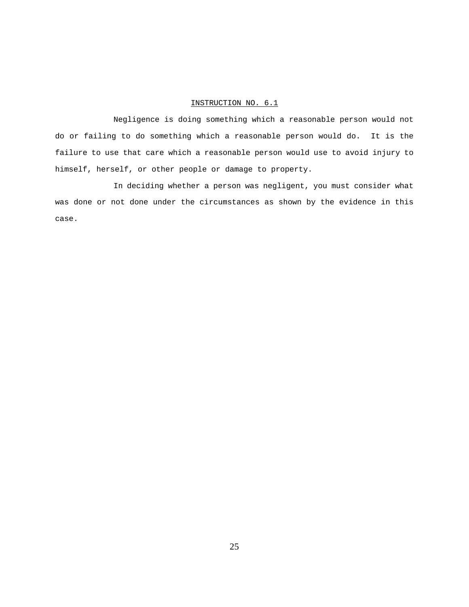Negligence is doing something which a reasonable person would not do or failing to do something which a reasonable person would do. It is the failure to use that care which a reasonable person would use to avoid injury to himself, herself, or other people or damage to property.

In deciding whether a person was negligent, you must consider what was done or not done under the circumstances as shown by the evidence in this case.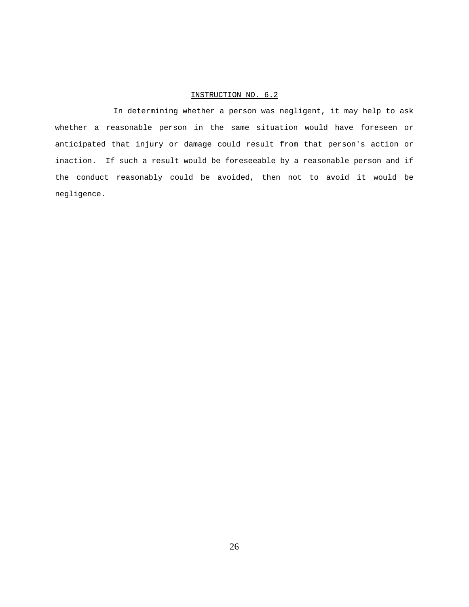In determining whether a person was negligent, it may help to ask whether a reasonable person in the same situation would have foreseen or anticipated that injury or damage could result from that person's action or inaction. If such a result would be foreseeable by a reasonable person and if the conduct reasonably could be avoided, then not to avoid it would be negligence.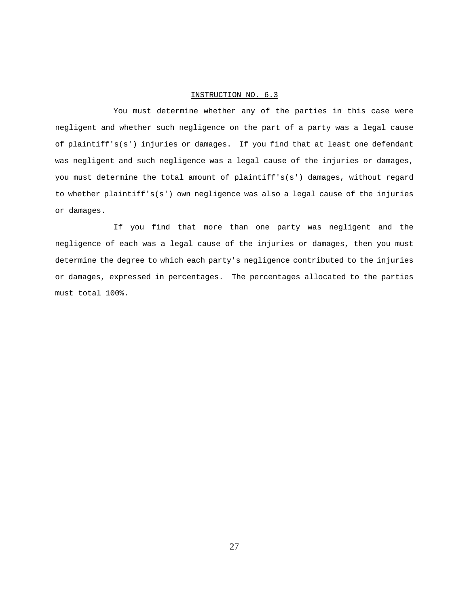You must determine whether any of the parties in this case were negligent and whether such negligence on the part of a party was a legal cause of plaintiff's(s') injuries or damages. If you find that at least one defendant was negligent and such negligence was a legal cause of the injuries or damages, you must determine the total amount of plaintiff's(s') damages, without regard to whether plaintiff's(s') own negligence was also a legal cause of the injuries or damages.

If you find that more than one party was negligent and the negligence of each was a legal cause of the injuries or damages, then you must determine the degree to which each party's negligence contributed to the injuries or damages, expressed in percentages. The percentages allocated to the parties must total 100%.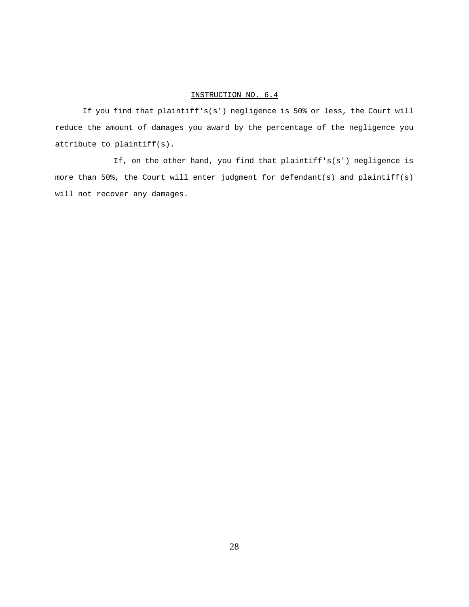If you find that plaintiff's(s') negligence is 50% or less, the Court will reduce the amount of damages you award by the percentage of the negligence you attribute to plaintiff(s).

If, on the other hand, you find that plaintiff's(s') negligence is more than 50%, the Court will enter judgment for defendant(s) and plaintiff(s) will not recover any damages.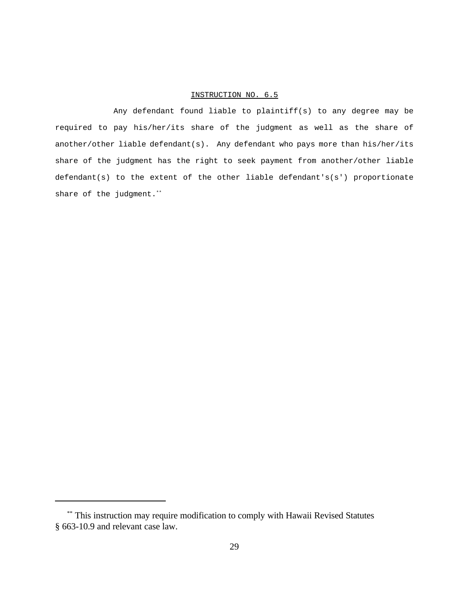Any defendant found liable to plaintiff(s) to any degree may be required to pay his/her/its share of the judgment as well as the share of another/other liable defendant(s). Any defendant who pays more than his/her/its share of the judgment has the right to seek payment from another/other liable defendant(s) to the extent of the other liable defendant's(s') proportionate share of the judgment.<sup>\*\*</sup>

<sup>\*\*</sup> This instruction may require modification to comply with Hawaii Revised Statutes § 663-10.9 and relevant case law.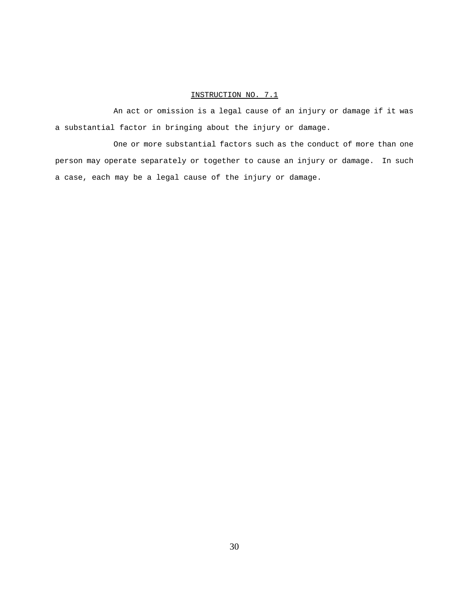An act or omission is a legal cause of an injury or damage if it was a substantial factor in bringing about the injury or damage.

One or more substantial factors such as the conduct of more than one person may operate separately or together to cause an injury or damage. In such a case, each may be a legal cause of the injury or damage.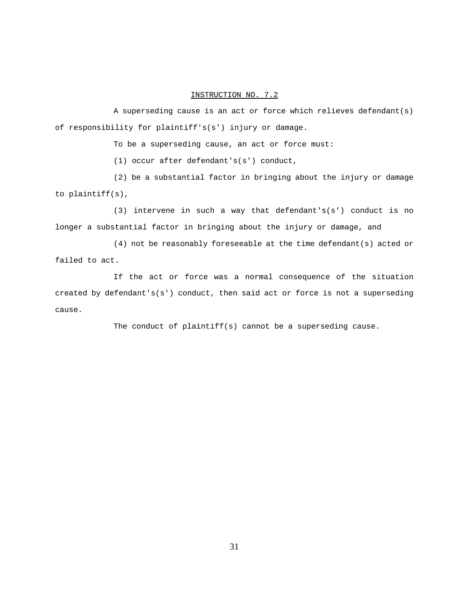A superseding cause is an act or force which relieves defendant(s) of responsibility for plaintiff's(s') injury or damage.

To be a superseding cause, an act or force must:

(1) occur after defendant's(s') conduct,

(2) be a substantial factor in bringing about the injury or damage to plaintiff(s),

(3) intervene in such a way that defendant's(s') conduct is no longer a substantial factor in bringing about the injury or damage, and

(4) not be reasonably foreseeable at the time defendant(s) acted or failed to act.

If the act or force was a normal consequence of the situation created by defendant's(s') conduct, then said act or force is not a superseding cause.

The conduct of plaintiff(s) cannot be a superseding cause.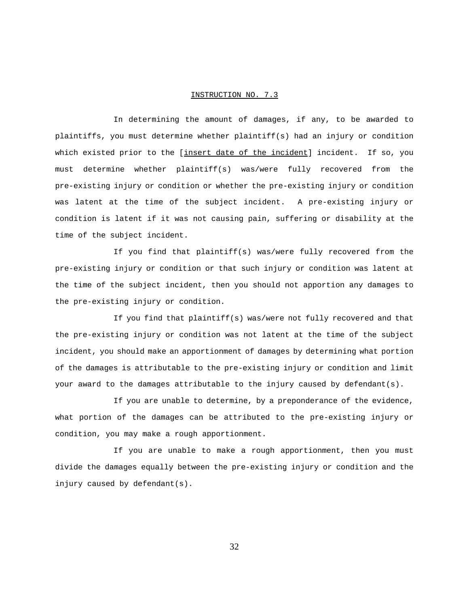In determining the amount of damages, if any, to be awarded to plaintiffs, you must determine whether plaintiff(s) had an injury or condition which existed prior to the [insert date of the incident] incident. If so, you must determine whether plaintiff(s) was/were fully recovered from the pre-existing injury or condition or whether the pre-existing injury or condition was latent at the time of the subject incident. A pre-existing injury or condition is latent if it was not causing pain, suffering or disability at the time of the subject incident.

If you find that plaintiff(s) was/were fully recovered from the pre-existing injury or condition or that such injury or condition was latent at the time of the subject incident, then you should not apportion any damages to the pre-existing injury or condition.

If you find that plaintiff(s) was/were not fully recovered and that the pre-existing injury or condition was not latent at the time of the subject incident, you should make an apportionment of damages by determining what portion of the damages is attributable to the pre-existing injury or condition and limit your award to the damages attributable to the injury caused by defendant(s).

If you are unable to determine, by a preponderance of the evidence, what portion of the damages can be attributed to the pre-existing injury or condition, you may make a rough apportionment.

If you are unable to make a rough apportionment, then you must divide the damages equally between the pre-existing injury or condition and the injury caused by defendant(s).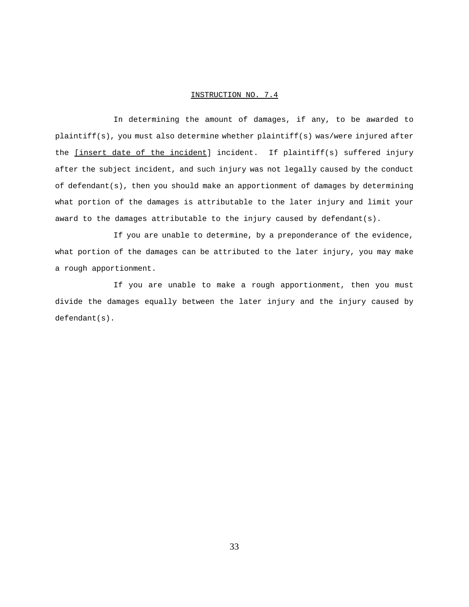In determining the amount of damages, if any, to be awarded to plaintiff(s), you must also determine whether plaintiff(s) was/were injured after the *[insert date of the incident]* incident. If plaintiff(s) suffered injury after the subject incident, and such injury was not legally caused by the conduct of defendant(s), then you should make an apportionment of damages by determining what portion of the damages is attributable to the later injury and limit your award to the damages attributable to the injury caused by defendant(s).

If you are unable to determine, by a preponderance of the evidence, what portion of the damages can be attributed to the later injury, you may make a rough apportionment.

If you are unable to make a rough apportionment, then you must divide the damages equally between the later injury and the injury caused by defendant(s).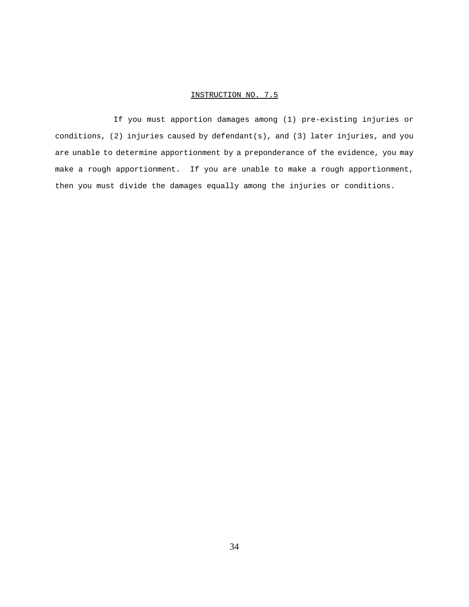If you must apportion damages among (1) pre-existing injuries or conditions, (2) injuries caused by defendant(s), and (3) later injuries, and you are unable to determine apportionment by a preponderance of the evidence, you may make a rough apportionment. If you are unable to make a rough apportionment, then you must divide the damages equally among the injuries or conditions.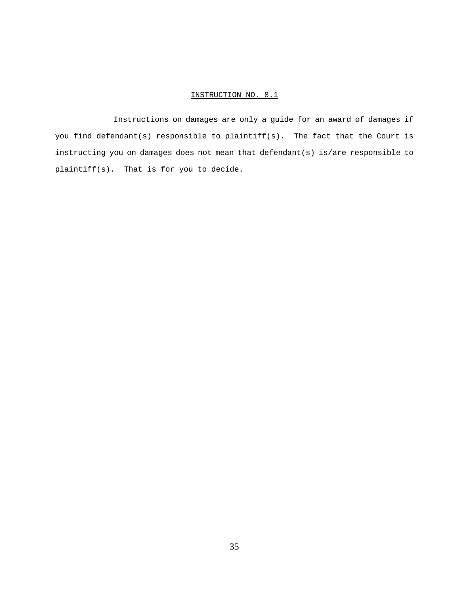Instructions on damages are only a guide for an award of damages if you find defendant(s) responsible to plaintiff(s). The fact that the Court is instructing you on damages does not mean that defendant(s) is/are responsible to plaintiff(s). That is for you to decide.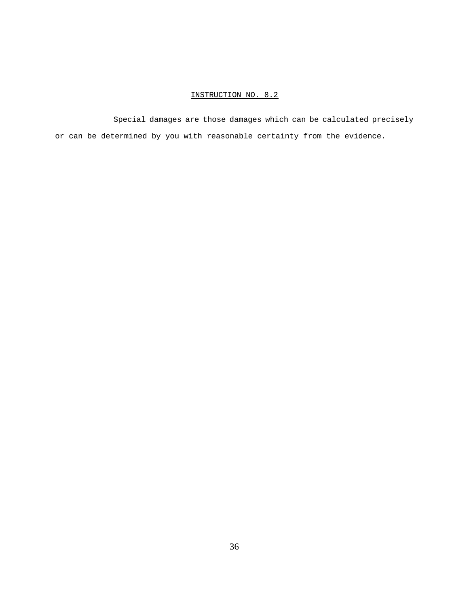Special damages are those damages which can be calculated precisely or can be determined by you with reasonable certainty from the evidence.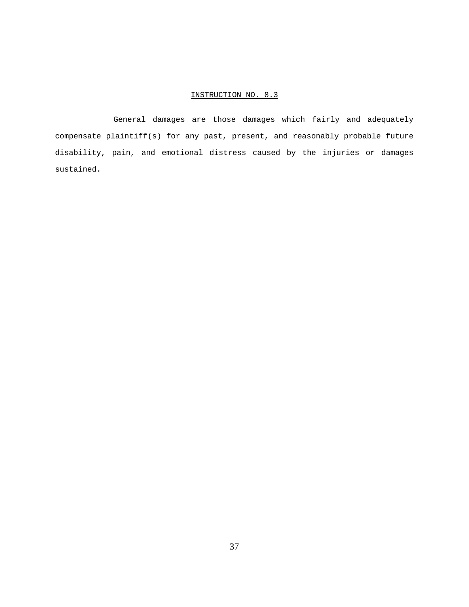General damages are those damages which fairly and adequately compensate plaintiff(s) for any past, present, and reasonably probable future disability, pain, and emotional distress caused by the injuries or damages sustained.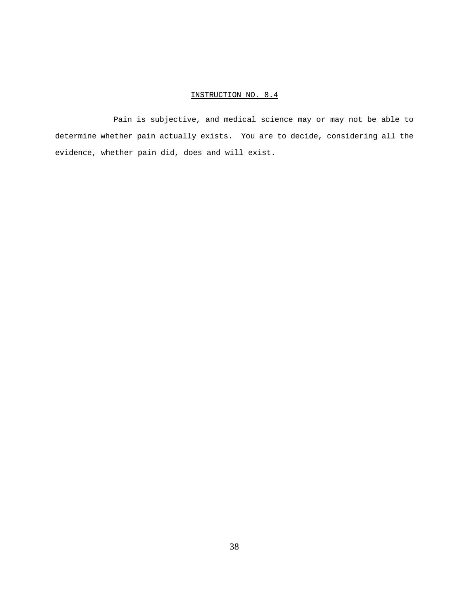Pain is subjective, and medical science may or may not be able to determine whether pain actually exists. You are to decide, considering all the evidence, whether pain did, does and will exist.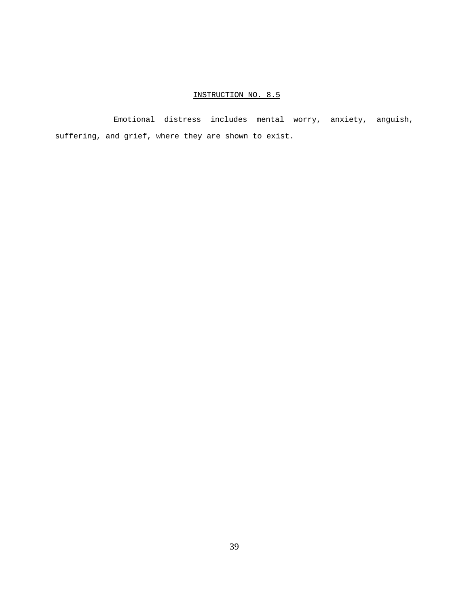Emotional distress includes mental worry, anxiety, anguish, suffering, and grief, where they are shown to exist.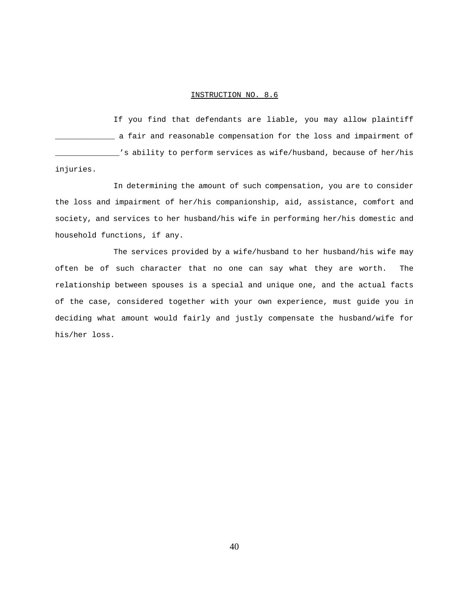If you find that defendants are liable, you may allow plaintiff \_\_\_\_\_\_\_\_\_\_\_\_\_ a fair and reasonable compensation for the loss and impairment of \_\_\_\_\_\_\_\_\_\_\_\_\_\_'s ability to perform services as wife/husband, because of her/his injuries.

In determining the amount of such compensation, you are to consider the loss and impairment of her/his companionship, aid, assistance, comfort and society, and services to her husband/his wife in performing her/his domestic and household functions, if any.

The services provided by a wife/husband to her husband/his wife may often be of such character that no one can say what they are worth. The relationship between spouses is a special and unique one, and the actual facts of the case, considered together with your own experience, must guide you in deciding what amount would fairly and justly compensate the husband/wife for his/her loss.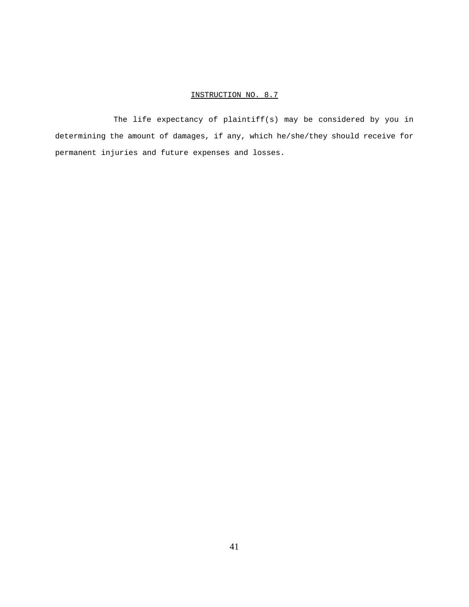The life expectancy of plaintiff(s) may be considered by you in determining the amount of damages, if any, which he/she/they should receive for permanent injuries and future expenses and losses.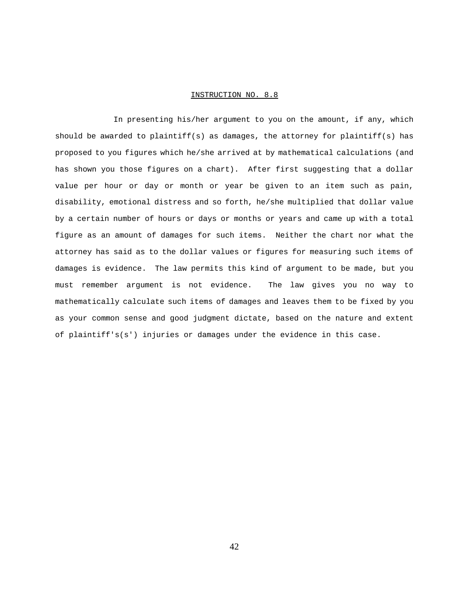In presenting his/her argument to you on the amount, if any, which should be awarded to plaintiff(s) as damages, the attorney for plaintiff(s) has proposed to you figures which he/she arrived at by mathematical calculations (and has shown you those figures on a chart). After first suggesting that a dollar value per hour or day or month or year be given to an item such as pain, disability, emotional distress and so forth, he/she multiplied that dollar value by a certain number of hours or days or months or years and came up with a total figure as an amount of damages for such items. Neither the chart nor what the attorney has said as to the dollar values or figures for measuring such items of damages is evidence. The law permits this kind of argument to be made, but you must remember argument is not evidence. The law gives you no way to mathematically calculate such items of damages and leaves them to be fixed by you as your common sense and good judgment dictate, based on the nature and extent of plaintiff's(s') injuries or damages under the evidence in this case.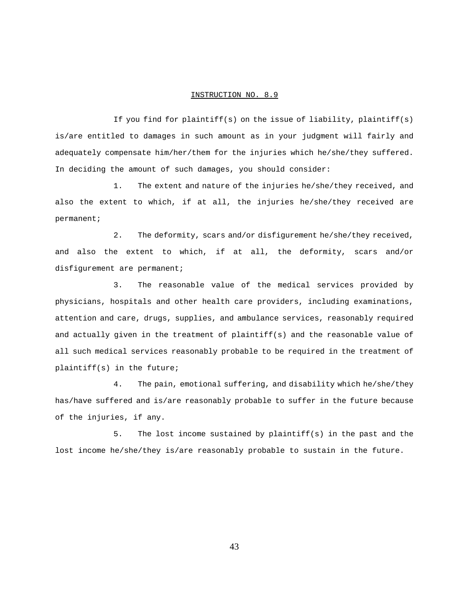If you find for plaintiff(s) on the issue of liability, plaintiff(s) is/are entitled to damages in such amount as in your judgment will fairly and adequately compensate him/her/them for the injuries which he/she/they suffered. In deciding the amount of such damages, you should consider:

1. The extent and nature of the injuries he/she/they received, and also the extent to which, if at all, the injuries he/she/they received are permanent;

2. The deformity, scars and/or disfigurement he/she/they received, and also the extent to which, if at all, the deformity, scars and/or disfigurement are permanent;

3. The reasonable value of the medical services provided by physicians, hospitals and other health care providers, including examinations, attention and care, drugs, supplies, and ambulance services, reasonably required and actually given in the treatment of plaintiff(s) and the reasonable value of all such medical services reasonably probable to be required in the treatment of plaintiff(s) in the future;

4. The pain, emotional suffering, and disability which he/she/they has/have suffered and is/are reasonably probable to suffer in the future because of the injuries, if any.

5. The lost income sustained by plaintiff(s) in the past and the lost income he/she/they is/are reasonably probable to sustain in the future.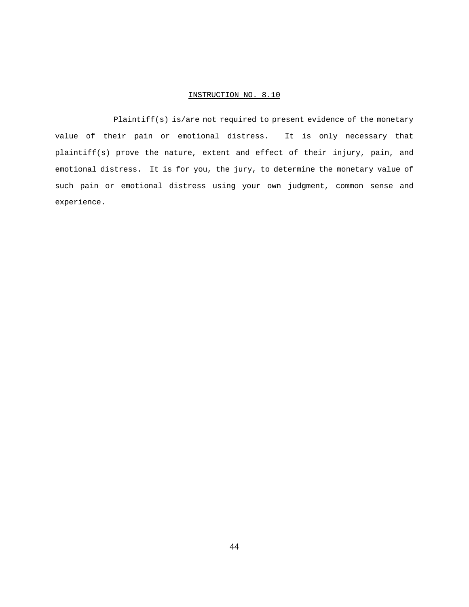Plaintiff(s) is/are not required to present evidence of the monetary value of their pain or emotional distress. It is only necessary that plaintiff(s) prove the nature, extent and effect of their injury, pain, and emotional distress. It is for you, the jury, to determine the monetary value of such pain or emotional distress using your own judgment, common sense and experience.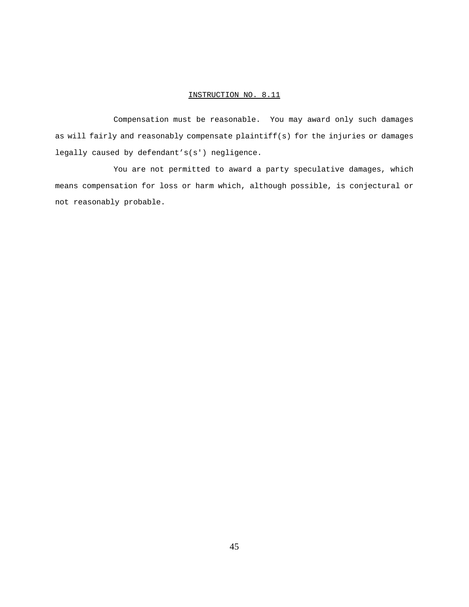Compensation must be reasonable. You may award only such damages as will fairly and reasonably compensate plaintiff(s) for the injuries or damages legally caused by defendant's(s') negligence.

You are not permitted to award a party speculative damages, which means compensation for loss or harm which, although possible, is conjectural or not reasonably probable.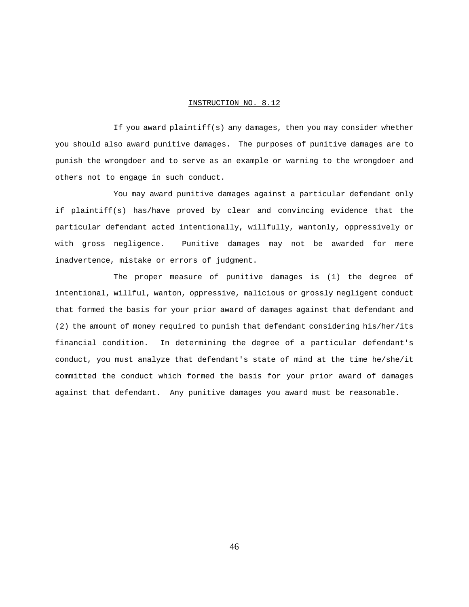If you award plaintiff(s) any damages, then you may consider whether you should also award punitive damages. The purposes of punitive damages are to punish the wrongdoer and to serve as an example or warning to the wrongdoer and others not to engage in such conduct.

You may award punitive damages against a particular defendant only if plaintiff(s) has/have proved by clear and convincing evidence that the particular defendant acted intentionally, willfully, wantonly, oppressively or with gross negligence. Punitive damages may not be awarded for mere inadvertence, mistake or errors of judgment.

The proper measure of punitive damages is (1) the degree of intentional, willful, wanton, oppressive, malicious or grossly negligent conduct that formed the basis for your prior award of damages against that defendant and (2) the amount of money required to punish that defendant considering his/her/its financial condition. In determining the degree of a particular defendant's conduct, you must analyze that defendant's state of mind at the time he/she/it committed the conduct which formed the basis for your prior award of damages against that defendant. Any punitive damages you award must be reasonable.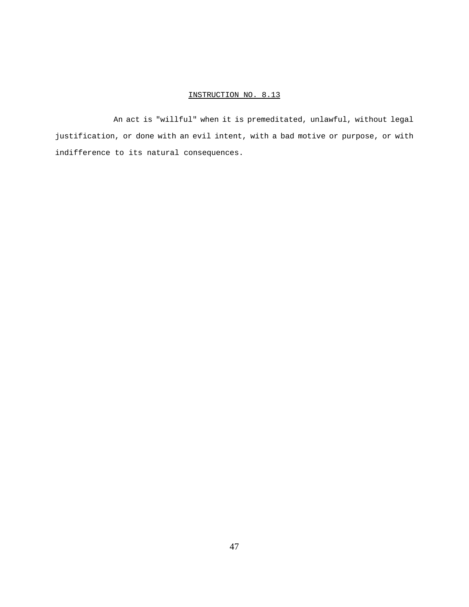An act is "willful" when it is premeditated, unlawful, without legal justification, or done with an evil intent, with a bad motive or purpose, or with indifference to its natural consequences.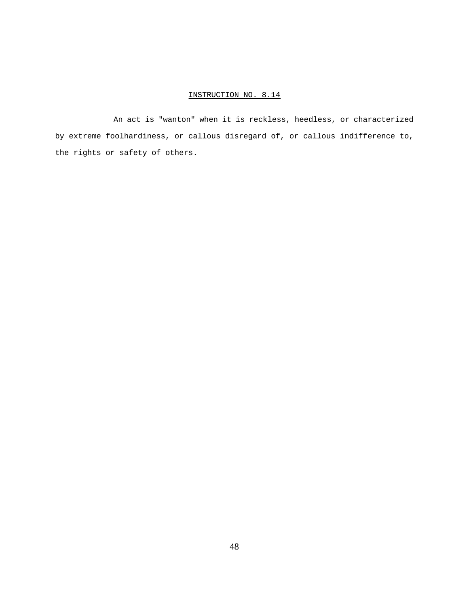An act is "wanton" when it is reckless, heedless, or characterized by extreme foolhardiness, or callous disregard of, or callous indifference to, the rights or safety of others.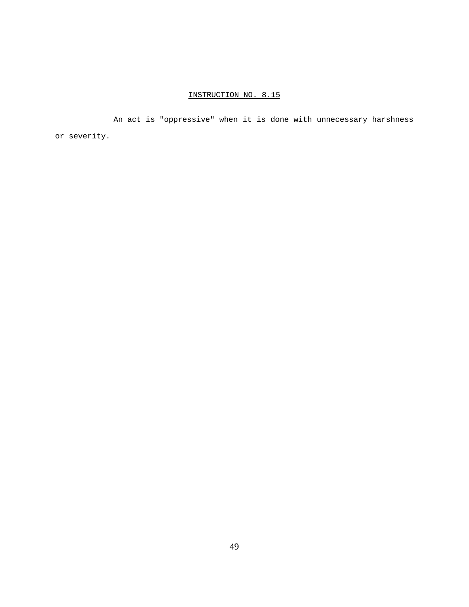An act is "oppressive" when it is done with unnecessary harshness or severity.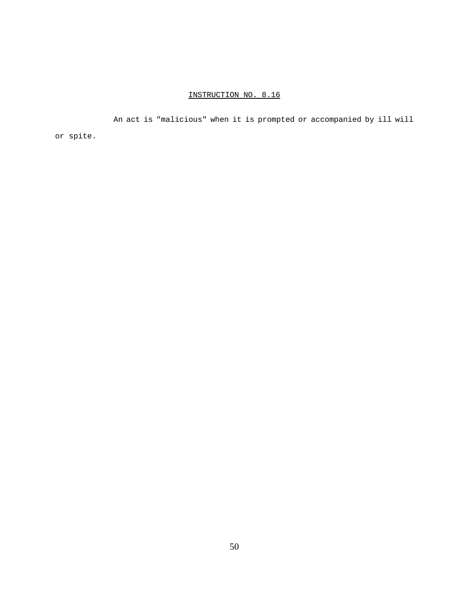An act is "malicious" when it is prompted or accompanied by ill will or spite.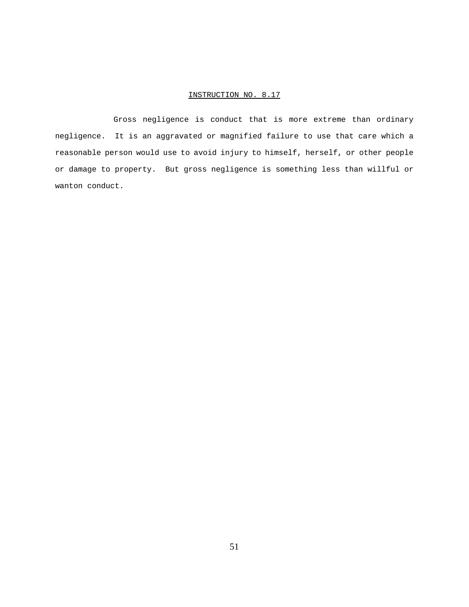Gross negligence is conduct that is more extreme than ordinary negligence. It is an aggravated or magnified failure to use that care which a reasonable person would use to avoid injury to himself, herself, or other people or damage to property. But gross negligence is something less than willful or wanton conduct.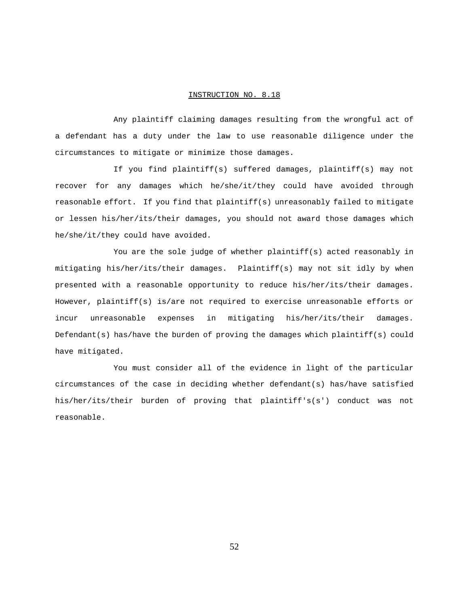Any plaintiff claiming damages resulting from the wrongful act of a defendant has a duty under the law to use reasonable diligence under the circumstances to mitigate or minimize those damages.

If you find plaintiff(s) suffered damages, plaintiff(s) may not recover for any damages which he/she/it/they could have avoided through reasonable effort. If you find that plaintiff(s) unreasonably failed to mitigate or lessen his/her/its/their damages, you should not award those damages which he/she/it/they could have avoided.

You are the sole judge of whether plaintiff(s) acted reasonably in mitigating his/her/its/their damages. Plaintiff(s) may not sit idly by when presented with a reasonable opportunity to reduce his/her/its/their damages. However, plaintiff(s) is/are not required to exercise unreasonable efforts or incur unreasonable expenses in mitigating his/her/its/their damages. Defendant(s) has/have the burden of proving the damages which plaintiff(s) could have mitigated.

You must consider all of the evidence in light of the particular circumstances of the case in deciding whether defendant(s) has/have satisfied his/her/its/their burden of proving that plaintiff's(s') conduct was not reasonable.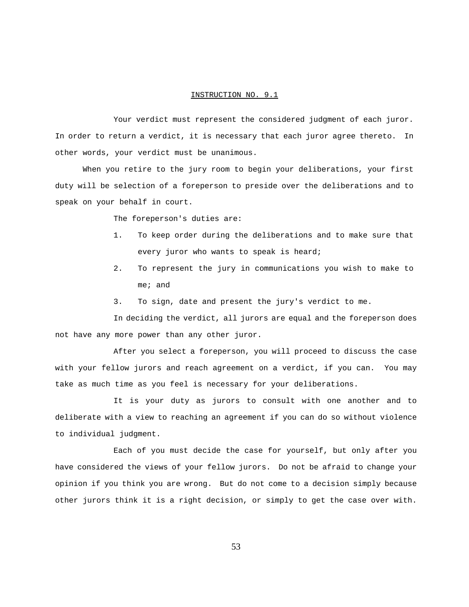Your verdict must represent the considered judgment of each juror. In order to return a verdict, it is necessary that each juror agree thereto. In other words, your verdict must be unanimous.

When you retire to the jury room to begin your deliberations, your first duty will be selection of a foreperson to preside over the deliberations and to speak on your behalf in court.

The foreperson's duties are:

- 1. To keep order during the deliberations and to make sure that every juror who wants to speak is heard;
- 2. To represent the jury in communications you wish to make to me; and
- 3. To sign, date and present the jury's verdict to me.

In deciding the verdict, all jurors are equal and the foreperson does not have any more power than any other juror.

After you select a foreperson, you will proceed to discuss the case with your fellow jurors and reach agreement on a verdict, if you can. You may take as much time as you feel is necessary for your deliberations.

It is your duty as jurors to consult with one another and to deliberate with a view to reaching an agreement if you can do so without violence to individual judgment.

Each of you must decide the case for yourself, but only after you have considered the views of your fellow jurors. Do not be afraid to change your opinion if you think you are wrong. But do not come to a decision simply because other jurors think it is a right decision, or simply to get the case over with.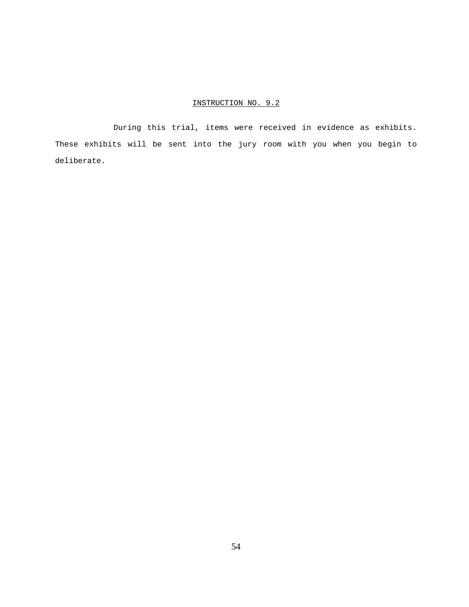During this trial, items were received in evidence as exhibits. These exhibits will be sent into the jury room with you when you begin to deliberate.